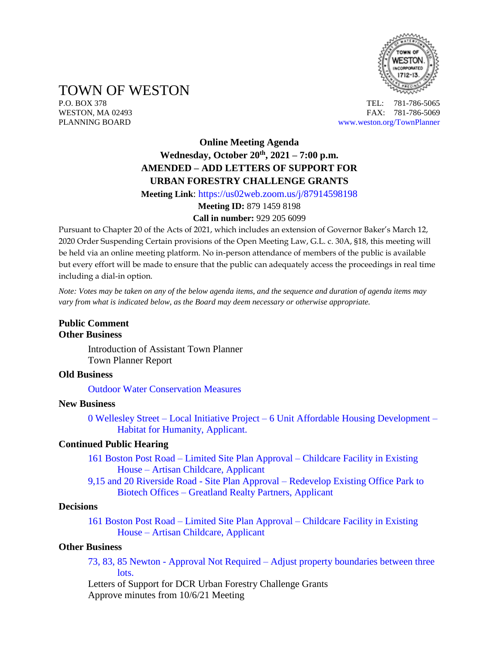

TOWN OF WESTON

P.O. BOX 378 TEL: 781-786-5065 WESTON, MA 02493 **FAX: 781-786-5069** PLANNING BOARD [www.weston.org/TownPlanner](http://www.weston.org/TownPlanner)

# **Online Meeting Agenda Wednesday, October 20th , 2021 – 7:00 p.m. AMENDED – ADD LETTERS OF SUPPORT FOR URBAN FORESTRY CHALLENGE GRANTS**

**Meeting Link**:<https://us02web.zoom.us/j/87914598198>

## **Meeting ID:** 879 1459 8198

#### **Call in number:** 929 205 6099

Pursuant to Chapter 20 of the Acts of 2021, which includes an extension of Governor Baker's March 12, 2020 Order Suspending Certain provisions of the Open Meeting Law, G.L. c. 30A, §18, this meeting will be held via an online meeting platform. No in-person attendance of members of the public is available but every effort will be made to ensure that the public can adequately access the proceedings in real time including a dial-in option.

*Note: Votes may be taken on any of the below agenda items, and the sequence and duration of agenda items may vary from what is indicated below, as the Board may deem necessary or otherwise appropriate.*

#### **Public Comment Other Business**

Introduction of Assistant Town Planner Town Planner Report

#### **Old Business**

[Outdoor Water Conservation Measures](https://www.westonma.gov/DocumentCenter/Index/4302)

#### **New Business**

0 Wellesley Street – Local Initiative Project – [6 Unit Affordable Housing Development –](https://www.westonma.gov/DocumentCenter/Index/4486) [Habitat for Humanity, Applicant.](https://www.westonma.gov/DocumentCenter/Index/4486)

#### **Continued Public Hearing**

- 161 Boston Post Road Limited Site Plan Approval [Childcare Facility in Existing](https://www.westonma.gov/DocumentCenter/Index/4452)  House – [Artisan Childcare, Applicant](https://www.westonma.gov/DocumentCenter/Index/4452)
- 9,15 and 20 Riverside Road Site Plan Approval [Redevelop Existing Office Park to](https://www.westonma.gov/DocumentCenter/Index/4433)  Biotech Offices – [Greatland Realty Partners, Applicant](https://www.westonma.gov/DocumentCenter/Index/4433)

#### **Decisions**

161 Boston Post Road – Limited Site Plan Approval – [Childcare Facility in Existing](https://www.westonma.gov/DocumentCenter/Index/4452)  House – [Artisan Childcare, Applicant](https://www.westonma.gov/DocumentCenter/Index/4452)

#### **Other Business**

73, 83, 85 Newton - Approval Not Required – [Adjust property boundaries between three](https://www.westonma.gov/DocumentCenter/Index/4480)  [lots.](https://www.westonma.gov/DocumentCenter/Index/4480)

Letters of Support for DCR Urban Forestry Challenge Grants Approve minutes from 10/6/21 Meeting